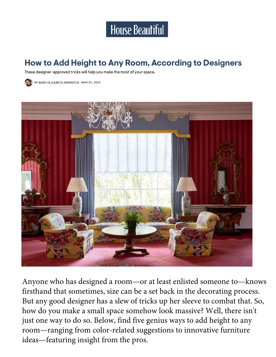

#### How to Add Height to Any Room, According to Designers

These designer-approved tricks will help you make the most of your space.





Anyone who has designed a room—or at least enlisted someone to—knows firsthand that sometimes, size can be a set back in the decorating process. But any good designer has a slew of tricks up her sleeve to combat that. So, how do you make a small space somehow look massive? Well, there isn't just one way to do so. Below, find five genius ways to add height to any room—ranging from color-related suggestions to innovative furniture ideas—featuring insight from the pros.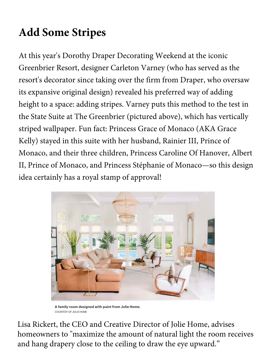# **Add Some Stripes**

At this year's Dorothy Draper Decorating Weekend at the iconic Greenbrier Resort, designer Carleton Varney (who has served as the resort's decorator since taking over the firm from Draper, who oversaw its expansive original design) revealed his preferred way of adding height to a space: adding stripes. Varney puts this method to the test in the State Suite at The Greenbrier (pictured above), which has vertically striped wallpaper. Fun fact: Princess Grace of Monaco (AKA Grace Kelly) stayed in this suite with her husband, Rainier III, Prince of Monaco, and their three children, Princess Caroline Of Hanover, Albert II, Prince of Monaco, and Princess Stéphanie of Monaco—so this design idea certainly has a royal stamp of approval!



A family room designed with paint from Jolie Home. **COURTESY OF JOLIE HOME** 

Lisa Rickert, the CEO and Creative Director of Jolie Home, advises homeowners to "maximize the amount of natural light the room receives and hang drapery close to the ceiling to draw the eye upward."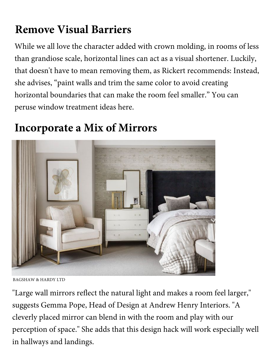# **Remove Visual Barriers**

While we all love the character added with crown molding, in rooms of less than grandiose scale, horizontal lines can act as a visual shortener. Luckily, that doesn't have to mean removing them, as Rickert recommends: Instead, she advises, "paint walls and trim the same color to avoid creating horizontal boundaries that can make the room feel smaller." You can peruse window treatment ideas here.

### **Incorporate a Mix of Mirrors**



BAGSHAW & HARDY LTD

"Large wall mirrors reflect the natural light and makes a room feel larger," suggests Gemma Pope, Head of Design at Andrew Henry Interiors. "A cleverly placed mirror can blend in with the room and play with our perception of space." She adds that this design hack will work especially well in hallways and landings.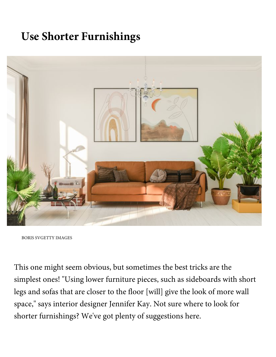## **Use Shorter Furnishings**



BORIS SVGETTY IMAGES

This one might seem obvious, but sometimes the best tricks are the simplest ones! "Using lower furniture pieces, such as sideboards with short legs and sofas that are closer to the floor [will] give the look of more wall space," says interior designer Jennifer Kay. Not sure where to look for shorter furnishings? We've got plenty of suggestions here.